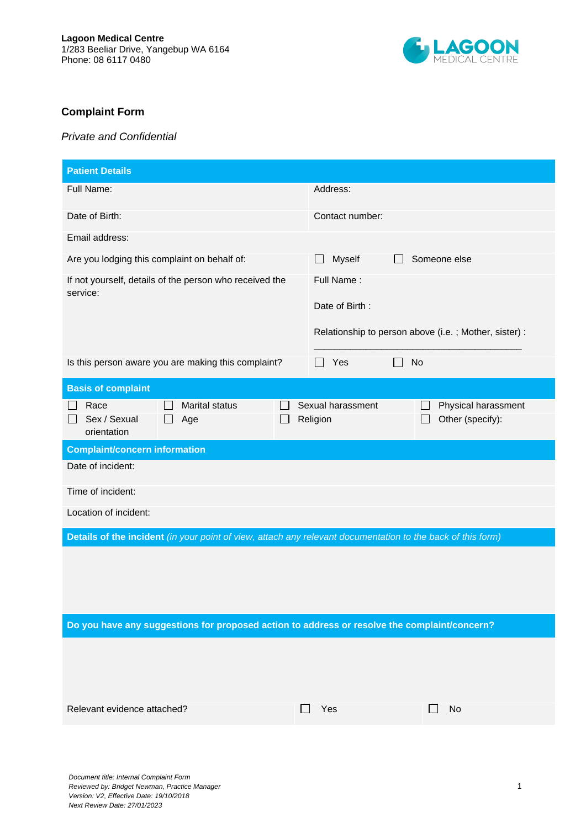

## **Complaint Form**

## *Private and Confidential*

| <b>Patient Details</b>                                                                                      |                                                                                       |  |  |
|-------------------------------------------------------------------------------------------------------------|---------------------------------------------------------------------------------------|--|--|
| Full Name:                                                                                                  | Address:                                                                              |  |  |
| Date of Birth:                                                                                              | Contact number:                                                                       |  |  |
| Email address:                                                                                              |                                                                                       |  |  |
| Are you lodging this complaint on behalf of:                                                                | Someone else<br>Myself<br>$\Box$                                                      |  |  |
| If not yourself, details of the person who received the<br>service:                                         | Full Name:<br>Date of Birth:<br>Relationship to person above (i.e.; Mother, sister) : |  |  |
| Is this person aware you are making this complaint?                                                         | Yes<br>No                                                                             |  |  |
| <b>Basis of complaint</b>                                                                                   |                                                                                       |  |  |
| Race<br><b>Marital status</b><br>Sex / Sexual<br>Age<br>orientation                                         | Sexual harassment<br>Physical harassment<br>Religion<br>Other (specify):              |  |  |
| <b>Complaint/concern information</b>                                                                        |                                                                                       |  |  |
| Date of incident:                                                                                           |                                                                                       |  |  |
| Time of incident:                                                                                           |                                                                                       |  |  |
| Location of incident:                                                                                       |                                                                                       |  |  |
| Details of the incident (in your point of view, attach any relevant documentation to the back of this form) |                                                                                       |  |  |
|                                                                                                             |                                                                                       |  |  |
| Do you have any suggestions for proposed action to address or resolve the complaint/concern?                |                                                                                       |  |  |
|                                                                                                             |                                                                                       |  |  |
| Relevant evidence attached?                                                                                 |                                                                                       |  |  |